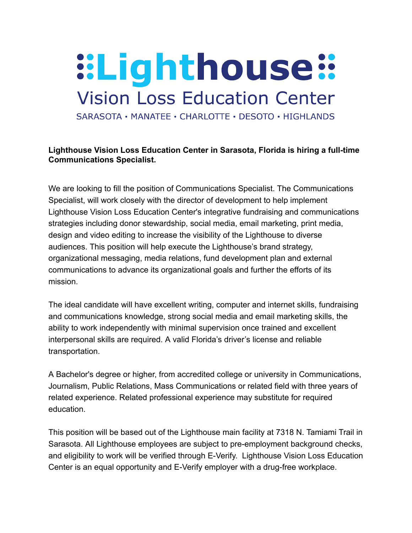## **::Lighthouse:: Vision Loss Education Center**

SARASOTA • MANATEE • CHARLOTTE • DESOTO • HIGHLANDS

## **Lighthouse Vision Loss Education Center in Sarasota, Florida is hiring a full-time Communications Specialist.**

We are looking to fill the position of Communications Specialist. The Communications Specialist, will work closely with the director of development to help implement Lighthouse Vision Loss Education Center's integrative fundraising and communications strategies including donor stewardship, social media, email marketing, print media, design and video editing to increase the visibility of the Lighthouse to diverse audiences. This position will help execute the Lighthouse's brand strategy, organizational messaging, media relations, fund development plan and external communications to advance its organizational goals and further the efforts of its mission.

The ideal candidate will have excellent writing, computer and internet skills, fundraising and communications knowledge, strong social media and email marketing skills, the ability to work independently with minimal supervision once trained and excellent interpersonal skills are required. A valid Florida's driver's license and reliable transportation.

A Bachelor's degree or higher, from accredited college or university in Communications, Journalism, Public Relations, Mass Communications or related field with three years of related experience. Related professional experience may substitute for required education.

This position will be based out of the Lighthouse main facility at 7318 N. Tamiami Trail in Sarasota. All Lighthouse employees are subject to pre-employment background checks, and eligibility to work will be verified through E-Verify. Lighthouse Vision Loss Education Center is an equal opportunity and E-Verify employer with a drug-free workplace.